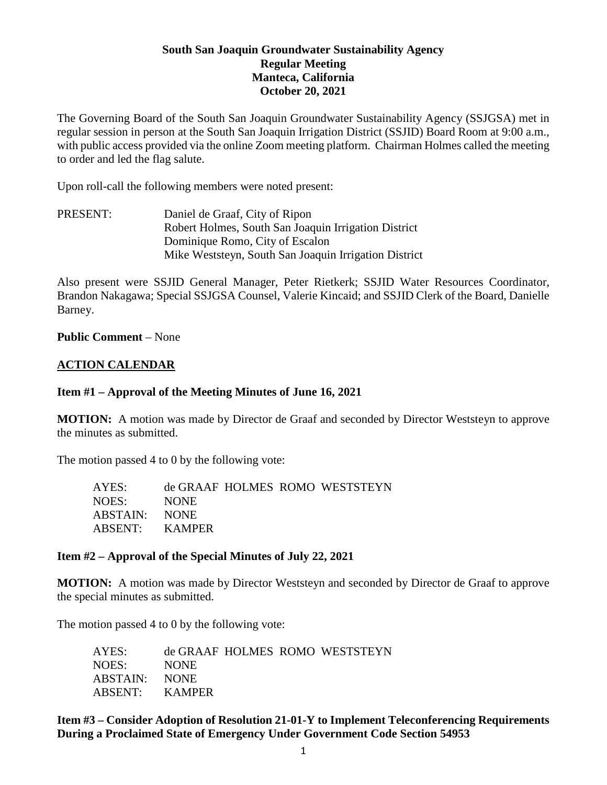## **South San Joaquin Groundwater Sustainability Agency Regular Meeting Manteca, California October 20, 2021**

The Governing Board of the South San Joaquin Groundwater Sustainability Agency (SSJGSA) met in regular session in person at the South San Joaquin Irrigation District (SSJID) Board Room at 9:00 a.m., with public access provided via the online Zoom meeting platform. Chairman Holmes called the meeting to order and led the flag salute.

Upon roll-call the following members were noted present:

PRESENT: Daniel de Graaf, City of Ripon Robert Holmes, South San Joaquin Irrigation District Dominique Romo, City of Escalon Mike Weststeyn, South San Joaquin Irrigation District

Also present were SSJID General Manager, Peter Rietkerk; SSJID Water Resources Coordinator, Brandon Nakagawa; Special SSJGSA Counsel, Valerie Kincaid; and SSJID Clerk of the Board, Danielle Barney.

#### **Public Comment** – None

#### **ACTION CALENDAR**

#### **Item #1 – Approval of the Meeting Minutes of June 16, 2021**

**MOTION:** A motion was made by Director de Graaf and seconded by Director Weststeyn to approve the minutes as submitted.

The motion passed 4 to 0 by the following vote:

| AYES:          |             |  | de GRAAF HOLMES ROMO WESTSTEYN |
|----------------|-------------|--|--------------------------------|
| NOES:          | <b>NONE</b> |  |                                |
| ABSTAIN: NONE  |             |  |                                |
| ABSENT: KAMPER |             |  |                                |

#### **Item #2 – Approval of the Special Minutes of July 22, 2021**

**MOTION:** A motion was made by Director Weststeyn and seconded by Director de Graaf to approve the special minutes as submitted.

The motion passed 4 to 0 by the following vote:

| AYES:          |             |  | de GRAAF HOLMES ROMO WESTSTEYN |
|----------------|-------------|--|--------------------------------|
| NOES:          | <b>NONE</b> |  |                                |
| ABSTAIN: NONE  |             |  |                                |
| ABSENT: KAMPER |             |  |                                |

**Item #3 – Consider Adoption of Resolution 21-01-Y to Implement Teleconferencing Requirements During a Proclaimed State of Emergency Under Government Code Section 54953**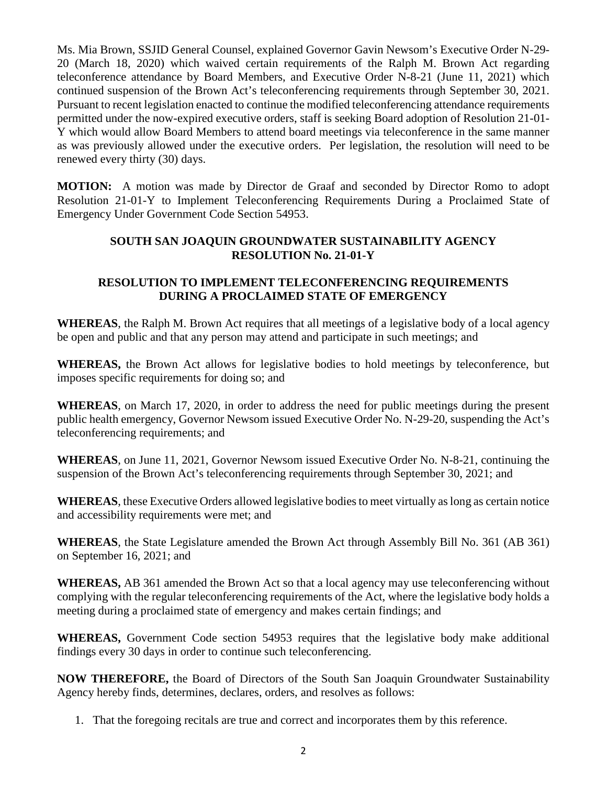Ms. Mia Brown, SSJID General Counsel, explained Governor Gavin Newsom's Executive Order N-29- 20 (March 18, 2020) which waived certain requirements of the Ralph M. Brown Act regarding teleconference attendance by Board Members, and Executive Order N-8-21 (June 11, 2021) which continued suspension of the Brown Act's teleconferencing requirements through September 30, 2021. Pursuant to recent legislation enacted to continue the modified teleconferencing attendance requirements permitted under the now-expired executive orders, staff is seeking Board adoption of Resolution 21-01- Y which would allow Board Members to attend board meetings via teleconference in the same manner as was previously allowed under the executive orders. Per legislation, the resolution will need to be renewed every thirty (30) days.

**MOTION:** A motion was made by Director de Graaf and seconded by Director Romo to adopt Resolution 21-01-Y to Implement Teleconferencing Requirements During a Proclaimed State of Emergency Under Government Code Section 54953.

# **SOUTH SAN JOAQUIN GROUNDWATER SUSTAINABILITY AGENCY RESOLUTION No. 21-01-Y**

# **RESOLUTION TO IMPLEMENT TELECONFERENCING REQUIREMENTS DURING A PROCLAIMED STATE OF EMERGENCY**

**WHEREAS**, the Ralph M. Brown Act requires that all meetings of a legislative body of a local agency be open and public and that any person may attend and participate in such meetings; and

**WHEREAS,** the Brown Act allows for legislative bodies to hold meetings by teleconference, but imposes specific requirements for doing so; and

**WHEREAS**, on March 17, 2020, in order to address the need for public meetings during the present public health emergency, Governor Newsom issued Executive Order No. N-29-20, suspending the Act's teleconferencing requirements; and

**WHEREAS**, on June 11, 2021, Governor Newsom issued Executive Order No. N-8-21, continuing the suspension of the Brown Act's teleconferencing requirements through September 30, 2021; and

**WHEREAS**, these Executive Orders allowed legislative bodies to meet virtually as long as certain notice and accessibility requirements were met; and

**WHEREAS**, the State Legislature amended the Brown Act through Assembly Bill No. 361 (AB 361) on September 16, 2021; and

**WHEREAS,** AB 361 amended the Brown Act so that a local agency may use teleconferencing without complying with the regular teleconferencing requirements of the Act, where the legislative body holds a meeting during a proclaimed state of emergency and makes certain findings; and

**WHEREAS,** Government Code section 54953 requires that the legislative body make additional findings every 30 days in order to continue such teleconferencing.

**NOW THEREFORE,** the Board of Directors of the South San Joaquin Groundwater Sustainability Agency hereby finds, determines, declares, orders, and resolves as follows:

1. That the foregoing recitals are true and correct and incorporates them by this reference.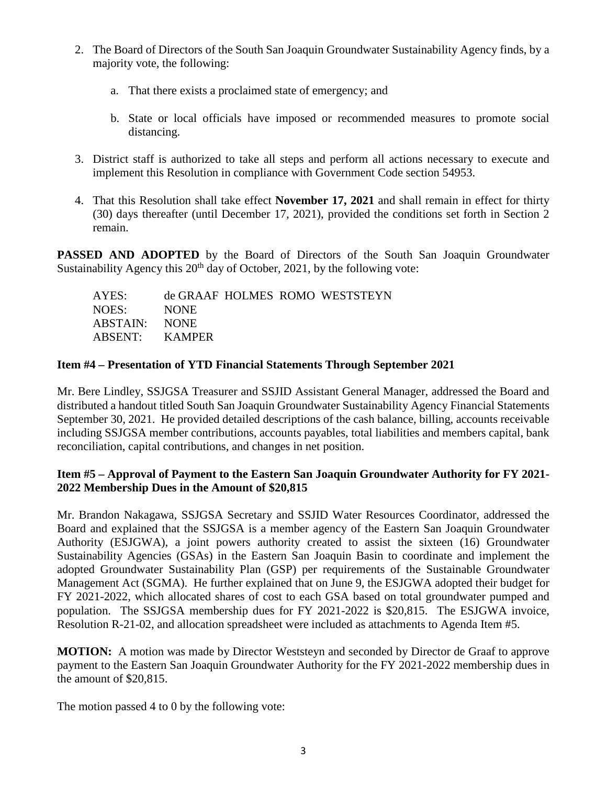- 2. The Board of Directors of the South San Joaquin Groundwater Sustainability Agency finds, by a majority vote, the following:
	- a. That there exists a proclaimed state of emergency; and
	- b. State or local officials have imposed or recommended measures to promote social distancing.
- 3. District staff is authorized to take all steps and perform all actions necessary to execute and implement this Resolution in compliance with Government Code section 54953.
- 4. That this Resolution shall take effect **November 17, 2021** and shall remain in effect for thirty (30) days thereafter (until December 17, 2021), provided the conditions set forth in Section 2 remain.

**PASSED AND ADOPTED** by the Board of Directors of the South San Joaquin Groundwater Sustainability Agency this  $20<sup>th</sup>$  day of October, 2021, by the following vote:

| AYES:          |             |  | de GRAAF HOLMES ROMO WESTSTEYN |
|----------------|-------------|--|--------------------------------|
| NOES:          | <b>NONE</b> |  |                                |
| ABSTAIN: NONE  |             |  |                                |
| ABSENT: KAMPER |             |  |                                |

## **Item #4 – Presentation of YTD Financial Statements Through September 2021**

Mr. Bere Lindley, SSJGSA Treasurer and SSJID Assistant General Manager, addressed the Board and distributed a handout titled South San Joaquin Groundwater Sustainability Agency Financial Statements September 30, 2021. He provided detailed descriptions of the cash balance, billing, accounts receivable including SSJGSA member contributions, accounts payables, total liabilities and members capital, bank reconciliation, capital contributions, and changes in net position.

## **Item #5 – Approval of Payment to the Eastern San Joaquin Groundwater Authority for FY 2021- 2022 Membership Dues in the Amount of \$20,815**

Mr. Brandon Nakagawa, SSJGSA Secretary and SSJID Water Resources Coordinator, addressed the Board and explained that the SSJGSA is a member agency of the Eastern San Joaquin Groundwater Authority (ESJGWA), a joint powers authority created to assist the sixteen (16) Groundwater Sustainability Agencies (GSAs) in the Eastern San Joaquin Basin to coordinate and implement the adopted Groundwater Sustainability Plan (GSP) per requirements of the Sustainable Groundwater Management Act (SGMA). He further explained that on June 9, the ESJGWA adopted their budget for FY 2021-2022, which allocated shares of cost to each GSA based on total groundwater pumped and population. The SSJGSA membership dues for FY 2021-2022 is \$20,815. The ESJGWA invoice, Resolution R-21-02, and allocation spreadsheet were included as attachments to Agenda Item #5.

**MOTION:** A motion was made by Director Weststeyn and seconded by Director de Graaf to approve payment to the Eastern San Joaquin Groundwater Authority for the FY 2021-2022 membership dues in the amount of \$20,815.

The motion passed 4 to 0 by the following vote: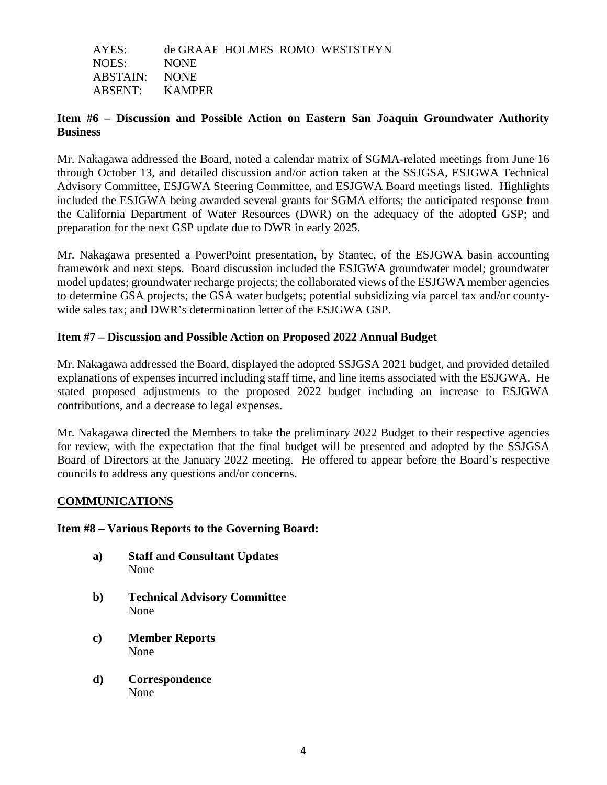| AYES:          |             |  | de GRAAF HOLMES ROMO WESTSTEYN |
|----------------|-------------|--|--------------------------------|
| NOES:          | <b>NONE</b> |  |                                |
| ABSTAIN: NONE  |             |  |                                |
| ABSENT: KAMPER |             |  |                                |

## **Item #6 – Discussion and Possible Action on Eastern San Joaquin Groundwater Authority Business**

Mr. Nakagawa addressed the Board, noted a calendar matrix of SGMA-related meetings from June 16 through October 13, and detailed discussion and/or action taken at the SSJGSA, ESJGWA Technical Advisory Committee, ESJGWA Steering Committee, and ESJGWA Board meetings listed. Highlights included the ESJGWA being awarded several grants for SGMA efforts; the anticipated response from the California Department of Water Resources (DWR) on the adequacy of the adopted GSP; and preparation for the next GSP update due to DWR in early 2025.

Mr. Nakagawa presented a PowerPoint presentation, by Stantec, of the ESJGWA basin accounting framework and next steps. Board discussion included the ESJGWA groundwater model; groundwater model updates; groundwater recharge projects; the collaborated views of the ESJGWA member agencies to determine GSA projects; the GSA water budgets; potential subsidizing via parcel tax and/or countywide sales tax; and DWR's determination letter of the ESJGWA GSP.

## **Item #7 – Discussion and Possible Action on Proposed 2022 Annual Budget**

Mr. Nakagawa addressed the Board, displayed the adopted SSJGSA 2021 budget, and provided detailed explanations of expenses incurred including staff time, and line items associated with the ESJGWA. He stated proposed adjustments to the proposed 2022 budget including an increase to ESJGWA contributions, and a decrease to legal expenses.

Mr. Nakagawa directed the Members to take the preliminary 2022 Budget to their respective agencies for review, with the expectation that the final budget will be presented and adopted by the SSJGSA Board of Directors at the January 2022 meeting. He offered to appear before the Board's respective councils to address any questions and/or concerns.

#### **COMMUNICATIONS**

#### **Item #8 – Various Reports to the Governing Board:**

- **a) Staff and Consultant Updates** None
- **b) Technical Advisory Committee** None
- **c) Member Reports** None
- **d) Correspondence** None